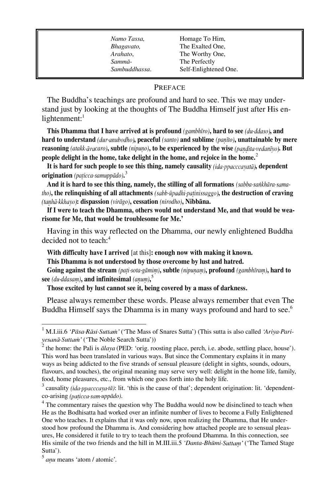*Namo Tassa*, **Homage To Him**, *Bhagavato,* The Exalted One, *Arahato*, The Worthy One, *Sammà*- The Perfectly *Sambuddhassa*. Self-Enlightened One.

## PREFACE

The Buddha's teachings are profound and hard to see. This we may understand just by looking at the thoughts of The Buddha Himself just after His enlightenment: $<sup>1</sup>$ </sup>

This Dhamma that I have arrived at is profound (gambhīro), hard to see (du-ddaso), and **hard to understand , peaceful** *(santo)* **and sublime** *(paõãto)***, unattainable by mere reasoning** (atakk  $\bar{a}$ *vacaro*), subtle (nipuno), to be experienced by the wise (pandita vedaniyo). But **people delight in the home, take delight in the home, and rejoice in the home.**<sup>2</sup>

It is hard for such people to see this thing, namely causality *(ida-ppacccavata)*, dependent **origination** *(pañicca samuppàdo)***.** 3

**And it is hard to see this thing, namely, the stilling of all formations** *(sabba saïkhàra matho*), the relinquishing of all attachments (sabb-ūpadhi-patinissaggo), the destruction of craving **: dispassion** *(viràgo)***, cessation** *(nirodho)***, Nibbàna.** 

**If I were to teach the Dhamma, others would not understand Me, and that would be wearisome for Me, that would be troublesome for Me.'**

Having in this way reflected on the Dhamma, our newly enlightened Buddha decided not to teach:<sup>4</sup>

**With difficulty have I arrived** [at this]**: enough now with making it known.**

**This Dhamma is not understood by those overcome by lust and hatred.**

**Going against the stream** *(pañi sota gàmiü)***, subtle** *(nipuõaü)***, profound** *(gambhãraü)***, hard to**   $\sec$  *(du ddasam),* and infinitesimal *(anum)*,  $\frac{5}{2}$ 

**Those excited by lust cannot see it, being covered by a mass of darkness.**

Please always remember these words. Please always remember that even The Buddha Himself says the Dhamma is in many ways profound and hard to see.<sup>6</sup>

ī

M.I.iii.6 *'Pāsa Rāsi Suttam'* ('The Mass of Snares Sutta') (This sutta is also called 'Ariya *Pari*vesanā·Suttam' ('The Noble Search Sutta'))

<sup>&</sup>lt;sup>2</sup> the home: the Pali is *ālaya* (PED: 'orig. roosting place, perch, i.e. abode, settling place, house'). This word has been translated in various ways. But since the Commentary explains it in many ways as being addicted to the five strands of sensual pleasure (delight in sights, sounds, odours, flavours, and touches), the original meaning may serve very well: delight in the home life, family, food, home pleasures, etc., from which one goes forth into the holy life.

 $3$  causality *(ida ppacccaya tā)*: lit. 'this is the cause of that'; dependent origination: lit. 'dependentco-arising (paticca·sam·uppādo).

 $4$  The commentary raises the question why The Buddha would now be disinclined to teach when He as the Bodhisatta had worked over an infinite number of lives to become a Fully Enlightened One who teaches. It explains that it was only now, upon realizing the Dhamma, that He understood how profound the Dhamma is. And considering how attached people are to sensual pleasures, He considered it futile to try to teach them the profound Dhamma. In this connection, see His simile of the two friends and the hill in M.III.iii.5 'Danta-Bhūmi Suttam' ('The Tamed Stage Sutta').

<sup>&</sup>lt;sup>5</sup> *anu* means 'atom / atomic'.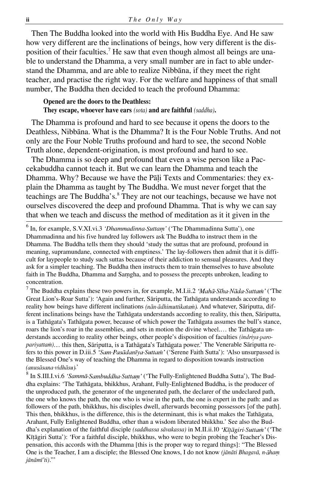Then The Buddha looked into the world with His Buddha Eye. And He saw how very different are the inclinations of beings, how very different is the disposition of their faculties.<sup>7</sup> He saw that even though almost all beings are unable to understand the Dhamma, a very small number are in fact to able understand the Dhamma, and are able to realize Nibbàna, if they meet the right teacher, and practise the right way. For the welfare and happiness of that small number, The Buddha then decided to teach the profound Dhamma:

## **Opened are the doors to the Deathless:**

**They escape, whoever have ears** *(sota)* **and are faithful** *(saddha)***.**

The Dhamma is profound and hard to see because it opens the doors to the Deathless, Nibbàna. What is the Dhamma? It is the Four Noble Truths. And not only are the Four Noble Truths profound and hard to see, the second Noble Truth alone, dependent-origination, is most profound and hard to see.

The Dhamma is so deep and profound that even a wise person like a Paccekabuddha cannot teach it. But we can learn the Dhamma and teach the Dhamma. Why? Because we have the Pali Texts and Commentaries: they explain the Dhamma as taught by The Buddha. We must never forget that the teachings are The Buddha's.<sup>8</sup> They are not our teachings, because we have not ourselves discovered the deep and profound Dhamma. That is why we can say that when we teach and discuss the method of meditation as it it given in the

<sup>7</sup> The Buddha explains these two powers in, for example, M.I.ii.2 '*Mahā Sīha Nāda Suttani*' ('The Great Lion's-Roar Sutta'): `Again and further, Sàriputta, the Tathàgata understands according to reality how beings have different inclinations  $(n\bar{a}n \cdot \bar{a}dhimuttikata\hat{m})$ . And whatever, Sāriputta, different inclinations beings have the Tathàgata understands according to reality, this then, Sàriputta, is a Tathàgata's Tathàgata power, because of which power the Tathàgata assumes the bull's stance, roars the lion's roar in the assemblies, and sets in motion the divine wheel.... the Tathagata understands according to reality other beings, other people's disposition of faculties *(indriva-paropariyattam*)... this then, Sāriputta, is a Tathāgata's Tathāgata power.' The Venerable Sāriputta refers to this power in D.iii.5 'Sam Pasādanīya Suttam' ('Serene Faith Sutta'): 'Also unsurpassed is the Blessed One's way of teaching the Dhamma in regard to disposition towards instruction (anusāsana·vidhāsu).'

<sup>8</sup> In S.III.I.vi.6 *'Sammā Sambuddha Suttam'* ('The Fully-Enlightened Buddha Sutta'), The Buddha explains: `The Tathàgata, bhikkhus, Arahant, Fully-Enlightened Buddha, is the producer of the unproduced path, the generator of the ungenerated path, the declarer of the undeclared path, the one who knows the path, the one who is wise in the path, the one is expert in the path: and as followers of the path, bhikkhus, his disciples dwell, afterwards becoming possessors [of the path]. This then, bhikkhus, is the difference, this is the determinant, this is what makes the Tathàgata, Arahant, Fully Enlightened Buddha, other than a wisdom liberated bhikkhu.' See also the Buddha's explanation of the faithful disciple *(saddhassa sāvakassa)* in M.II.ii.10 'Kītāgiri Suttam' ('The Kītāgiri Sutta'): 'For a faithful disciple, bhikkhus, who were to begin probing the Teacher's Dispensation, this accords with the Dhamma [this is the proper way to regard things]: "The Blessed One is the Teacher, I am a disciple; the Blessed One knows, I do not know *(jànàti Bhagavà, n haü*  $i\bar{a}n\bar{a}m\bar{i}'ti$ .

ī

<sup>&</sup>lt;sup>6</sup> In, for example, S.V.XI.vi.3 *'Dhammadinna Suttam'* ('The Dhammadinna Sutta'), one Dhammadinna and his five hundred lay followers ask The Buddha to instruct them in the Dhamma. The Buddha tells them they should `study the suttas that are profound, profound in meaning, supramundane, connected with emptiness.' The lay-followers then admit that it is difficult for laypeople to study such suttas because of their addiction to sensual pleasures. And they ask for a simpler teaching. The Buddha then instructs them to train themselves to have absolute faith in The Buddha, Dhamma and Samgha, and to possess the precepts unbroken, leading to concentration.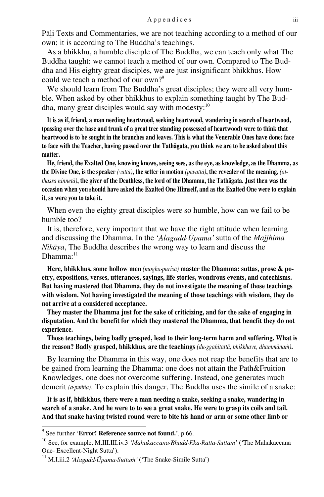Pàëi Texts and Commentaries, we are not teaching according to a method of our own; it is according to The Buddha's teachings.

As a bhikkhu, a humble disciple of The Buddha, we can teach only what The Buddha taught: we cannot teach a method of our own. Compared to The Buddha and His eighty great disciples, we are just insignificant bhikkhus. How could we teach a method of our own?<sup>9</sup>

We should learn from The Buddha's great disciples; they were all very humble. When asked by other bhikkhus to explain something taught by The Buddha, many great disciples would say with modesty:<sup>10</sup>

**It is as if, friend, a man needing heartwood, seeking heartwood, wandering in search of heartwood, (passing over the base and trunk of a great tree standing possessed of heartwood) were to think that heartwood is to be sought in the branches and leaves. This is what the Venerable Ones have done: face to face with the Teacher, having passed over the Tathàgata, you think we are to be asked about this matter.**

**He, friend, the Exalted One, knowing knows, seeing sees, as the eye, as knowledge, as the Dhamma, as the Divine One, is the speaker** *(vattà)***, the setter in motion** *(pavattà)***, the revealer of the meaning,** *(atthassa ninnetà)***, the giver of the Deathless, the lord of the Dhamma, the Tathàgata. Just then was the occasion when you should have asked the Exalted One Himself, and as the Exalted One were to explain it, so were you to take it.**

When even the eighty great disciples were so humble, how can we fail to be humble too?

It is, therefore, very important that we have the right attitude when learning and discussing the Dhamma. In the 'Alagadd<sup>'</sup> Upama' sutta of the *Majjhima Nikàya*, The Buddha describes the wrong way to learn and discuss the  $Dhamma:$ <sup>11</sup>

**Here, bhikkhus, some hollow men** *(mogha purisà)* **master the Dhamma: suttas, prose & poetry, expositions, verses, utterances, sayings, life stories, wondrous events, and catechisms. But having mastered that Dhamma, they do not investigate the meaning of those teachings with wisdom. Not having investigated the meaning of those teachings with wisdom, they do not arrive at a considered acceptance.**

**They master the Dhamma just for the sake of criticizing, and for the sake of engaging in disputation. And the benefit for which they mastered the Dhamma, that benefit they do not experience.** 

**Those teachings, being badly grasped, lead to their long-term harm and suffering. What is the reason? Badly grasped, bhikkhus, are the teachings** *(du ggahitattà, bhikkhave, dhammàna§)***.**

By learning the Dhamma in this way, one does not reap the benefits that are to be gained from learning the Dhamma: one does not attain the Path&Fruition Knowledges, one does not overcome suffering. Instead, one generates much demerit *(a pu¤¤a)*. To explain this danger, The Buddha uses the simile of a snake:

**It is as if, bhikkhus, there were a man needing a snake, seeking a snake, wandering in search of a snake. And he were to to see a great snake. He were to grasp its coils and tail. And that snake having twisted round were to bite his hand or arm or some other limb or** 

Ī

<sup>&</sup>lt;sup>9</sup> See further '**Error! Reference source not found.**', p.66.

<sup>&</sup>lt;sup>10</sup> See, for example, M.III.III.iv.3 *'Mahākaccāna Bhadd Eka Ratta Suttam'* ('The Mahākaccāna One- Excellent-Night Sutta').

 $^{11}$  M.I.iii.2 'Alagadd·Ūpama·Suttam' ('The Snake-Simile Sutta')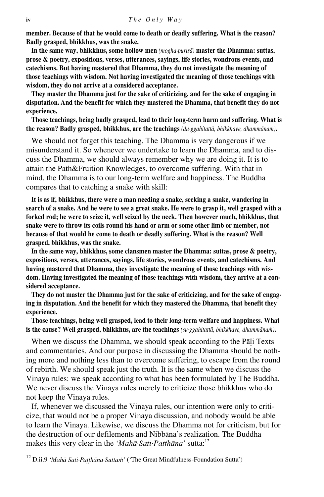**member. Because of that he would come to death or deadly suffering. What is the reason? Badly grasped, bhikkhus, was the snake.**

**In the same way, bhikkhus, some hollow men** *(mogha purisà)* **master the Dhamma: suttas, prose & poetry, expositions, verses, utterances, sayings, life stories, wondrous events, and catechisms. But having mastered that Dhamma, they do not investigate the meaning of those teachings with wisdom. Not having investigated the meaning of those teachings with wisdom, they do not arrive at a considered acceptance.**

**They master the Dhamma just for the sake of criticizing, and for the sake of engaging in disputation. And the benefit for which they mastered the Dhamma, that benefit they do not experience.** 

**Those teachings, being badly grasped, lead to their long-term harm and suffering. What is the reason? Badly grasped, bhikkhus, are the teachings** *(du ggahitattà, bhikkhave, dhammàna§)***.**

We should not forget this teaching. The Dhamma is very dangerous if we misunderstand it. So whenever we undertake to learn the Dhamma, and to discuss the Dhamma, we should always remember why we are doing it. It is to attain the Path&Fruition Knowledges, to overcome suffering. With that in mind, the Dhamma is to our long-term welfare and happiness. The Buddha compares that to catching a snake with skill:

**It is as if, bhikkhus, there were a man needing a snake, seeking a snake, wandering in search of a snake. And he were to see a great snake. He were to grasp it, well grasped with a forked rod; he were to seize it, well seized by the neck. Then however much, bhikkhus, that snake were to throw its coils round his hand or arm or some other limb or member, not because of that would he come to death or deadly suffering. What is the reason? Well grasped, bhikkhus, was the snake.**

**In the same way, bhikkhus, some clansmen master the Dhamma: suttas, prose & poetry, expositions, verses, utterances, sayings, life stories, wondrous events, and catechisms. And having mastered that Dhamma, they investigate the meaning of those teachings with wisdom. Having investigated the meaning of those teachings with wisdom, they arrive at a considered acceptance.**

**They do not master the Dhamma just for the sake of criticizing, and for the sake of engaging in disputation. And the benefit for which they mastered the Dhamma, that benefit they experience.** 

**Those teachings, being well grasped, lead to their long-term welfare and happiness. What**  is the cause? Well grasped, bhikkhus, are the teachings (su·ggahitattā, bhikkhave, dhammānam).

When we discuss the Dhamma, we should speak according to the Pāli Texts and commentaries. And our purpose in discussing the Dhamma should be nothing more and nothing less than to overcome suffering, to escape from the round of rebirth. We should speak just the truth. It is the same when we discuss the Vinaya rules: we speak according to what has been formulated by The Buddha. We never discuss the Vinaya rules merely to criticize those bhikkhus who do not keep the Vinaya rules.

If, whenever we discussed the Vinaya rules, our intention were only to criticize, that would not be a proper Vinaya discussion, and nobody would be able to learn the Vinaya. Likewise, we discuss the Dhamma not for criticism, but for the destruction of our defilements and Nibbàna's realization. The Buddha makes this very clear in the 'Mahā·Sati·Patthāna' sutta:<sup>12</sup>

 $\frac{12}{12}$ D.ii.9 'Mahā Sati·Patthāna·Suttam' ('The Great Mindfulness-Foundation Sutta')